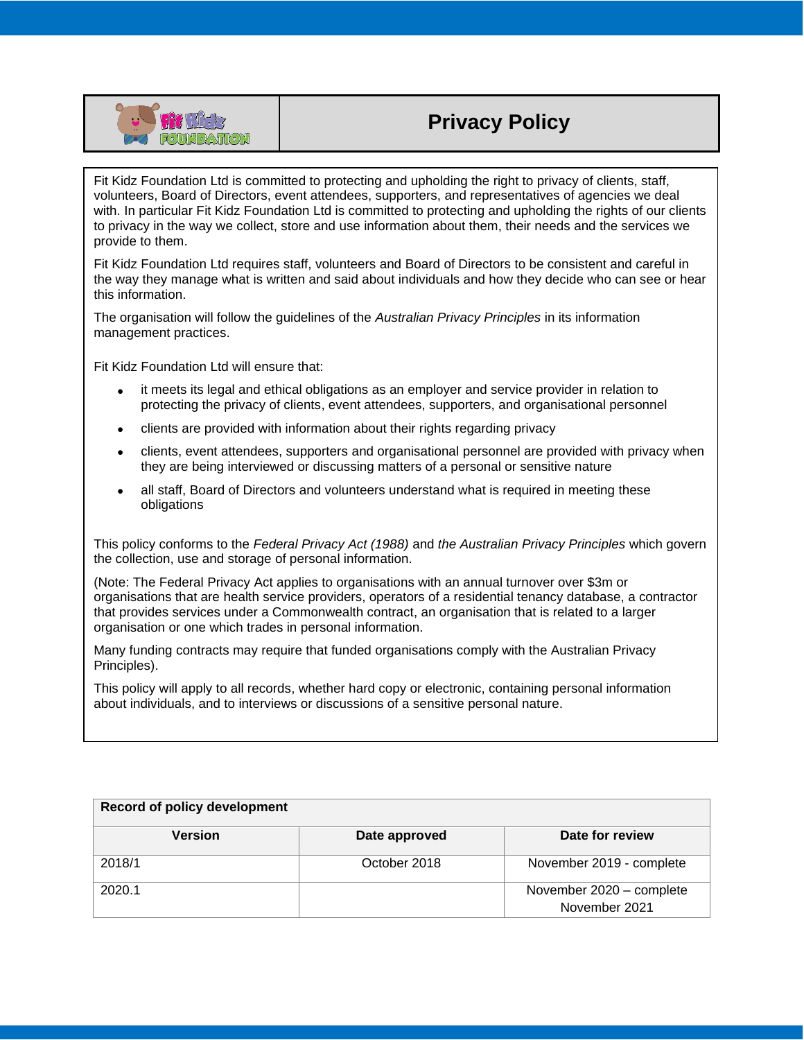

# **Privacy Policy**

Fit Kidz Foundation Ltd is committed to protecting and upholding the right to privacy of clients, staff, volunteers, Board of Directors, event attendees, supporters, and representatives of agencies we deal with. In particular Fit Kidz Foundation Ltd is committed to protecting and upholding the rights of our clients to privacy in the way we collect, store and use information about them, their needs and the services we provide to them.

Fit Kidz Foundation Ltd requires staff, volunteers and Board of Directors to be consistent and careful in the way they manage what is written and said about individuals and how they decide who can see or hear this information.

The organisation will follow the guidelines of the *Australian Privacy Principles* in its information management practices.

Fit Kidz Foundation Ltd will ensure that:

- it meets its legal and ethical obligations as an employer and service provider in relation to protecting the privacy of clients, event attendees, supporters, and organisational personnel
- clients are provided with information about their rights regarding privacy
- clients, event attendees, supporters and organisational personnel are provided with privacy when they are being interviewed or discussing matters of a personal or sensitive nature
- all staff, Board of Directors and volunteers understand what is required in meeting these obligations

This policy conforms to the *Federal Privacy Act (1988)* and *the Australian Privacy Principles* which govern the collection, use and storage of personal information.

(Note: The Federal Privacy Act applies to organisations with an annual turnover over \$3m or organisations that are health service providers, operators of a residential tenancy database, a contractor that provides services under a Commonwealth contract, an organisation that is related to a larger organisation or one which trades in personal information.

Many funding contracts may require that funded organisations comply with the Australian Privacy Principles).

This policy will apply to all records, whether hard copy or electronic, containing personal information about individuals, and to interviews or discussions of a sensitive personal nature.

| <b>Record of policy development</b> |               |                                           |
|-------------------------------------|---------------|-------------------------------------------|
| <b>Version</b>                      | Date approved | Date for review                           |
| 2018/1                              | October 2018  | November 2019 - complete                  |
| 2020.1                              |               | November 2020 - complete<br>November 2021 |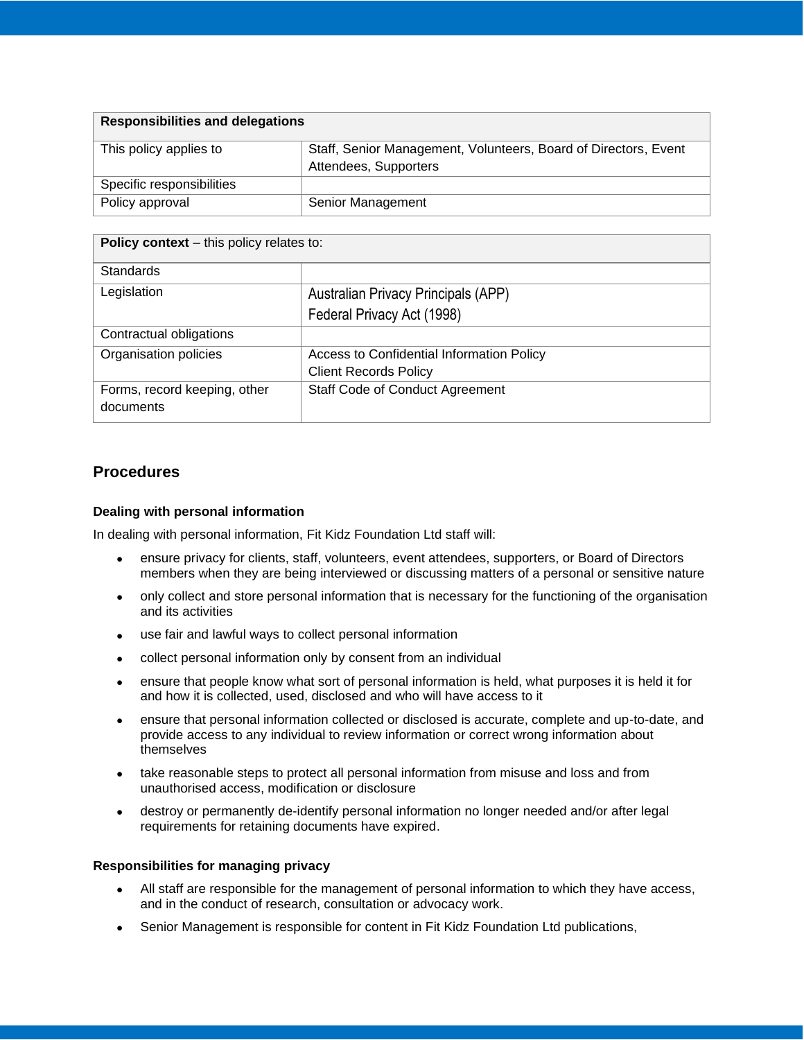| <b>Responsibilities and delegations</b> |                                                                                          |  |
|-----------------------------------------|------------------------------------------------------------------------------------------|--|
| This policy applies to                  | Staff, Senior Management, Volunteers, Board of Directors, Event<br>Attendees, Supporters |  |
| Specific responsibilities               |                                                                                          |  |
| Policy approval                         | Senior Management                                                                        |  |

| <b>Policy context</b> – this policy relates to: |                                           |  |
|-------------------------------------------------|-------------------------------------------|--|
| <b>Standards</b>                                |                                           |  |
| Legislation                                     | Australian Privacy Principals (APP)       |  |
|                                                 | Federal Privacy Act (1998)                |  |
| Contractual obligations                         |                                           |  |
| Organisation policies                           | Access to Confidential Information Policy |  |
|                                                 | <b>Client Records Policy</b>              |  |
| Forms, record keeping, other<br>documents       | <b>Staff Code of Conduct Agreement</b>    |  |

## **Procedures**

## **Dealing with personal information**

In dealing with personal information, Fit Kidz Foundation Ltd staff will:

- ensure privacy for clients, staff, volunteers, event attendees, supporters, or Board of Directors members when they are being interviewed or discussing matters of a personal or sensitive nature
- only collect and store personal information that is necessary for the functioning of the organisation and its activities
- use fair and lawful ways to collect personal information
- collect personal information only by consent from an individual
- ensure that people know what sort of personal information is held, what purposes it is held it for and how it is collected, used, disclosed and who will have access to it
- ensure that personal information collected or disclosed is accurate, complete and up-to-date, and provide access to any individual to review information or correct wrong information about themselves
- take reasonable steps to protect all personal information from misuse and loss and from unauthorised access, modification or disclosure
- destroy or permanently de-identify personal information no longer needed and/or after legal requirements for retaining documents have expired.

#### **Responsibilities for managing privacy**

- All staff are responsible for the management of personal information to which they have access, and in the conduct of research, consultation or advocacy work.
- Senior Management is responsible for content in Fit Kidz Foundation Ltd publications,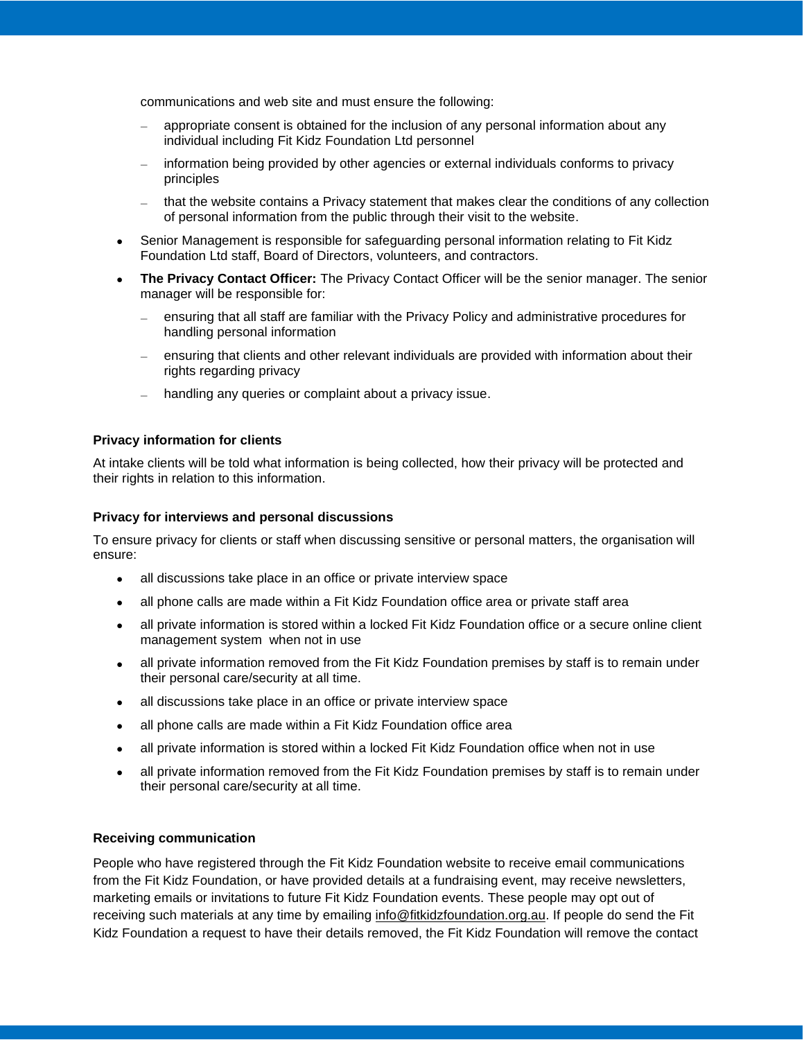communications and web site and must ensure the following:

- − appropriate consent is obtained for the inclusion of any personal information about any individual including Fit Kidz Foundation Ltd personnel
- − information being provided by other agencies or external individuals conforms to privacy principles
- that the website contains a Privacy statement that makes clear the conditions of any collection of personal information from the public through their visit to the website.
- Senior Management is responsible for safeguarding personal information relating to Fit Kidz Foundation Ltd staff, Board of Directors, volunteers, and contractors.
- **The Privacy Contact Officer:** The Privacy Contact Officer will be the senior manager. The senior manager will be responsible for:
	- ensuring that all staff are familiar with the Privacy Policy and administrative procedures for handling personal information
	- ensuring that clients and other relevant individuals are provided with information about their rights regarding privacy
	- handling any queries or complaint about a privacy issue.

#### **Privacy information for clients**

At intake clients will be told what information is being collected, how their privacy will be protected and their rights in relation to this information.

#### **Privacy for interviews and personal discussions**

To ensure privacy for clients or staff when discussing sensitive or personal matters, the organisation will ensure:

- all discussions take place in an office or private interview space
- all phone calls are made within a Fit Kidz Foundation office area or private staff area
- all private information is stored within a locked Fit Kidz Foundation office or a secure online client management system when not in use
- all private information removed from the Fit Kidz Foundation premises by staff is to remain under their personal care/security at all time.
- all discussions take place in an office or private interview space
- all phone calls are made within a Fit Kidz Foundation office area
- all private information is stored within a locked Fit Kidz Foundation office when not in use
- all private information removed from the Fit Kidz Foundation premises by staff is to remain under their personal care/security at all time.

#### **Receiving communication**

People who have registered through the Fit Kidz Foundation website to receive email communications from the Fit Kidz Foundation, or have provided details at a fundraising event, may receive newsletters, marketing emails or invitations to future Fit Kidz Foundation events. These people may opt out of receiving such materials at any time by emailing [info@fitkidzfoundation.org.au.](mailto:info@fitkidzfoundation.org.au) If people do send the Fit Kidz Foundation a request to have their details removed, the Fit Kidz Foundation will remove the contact